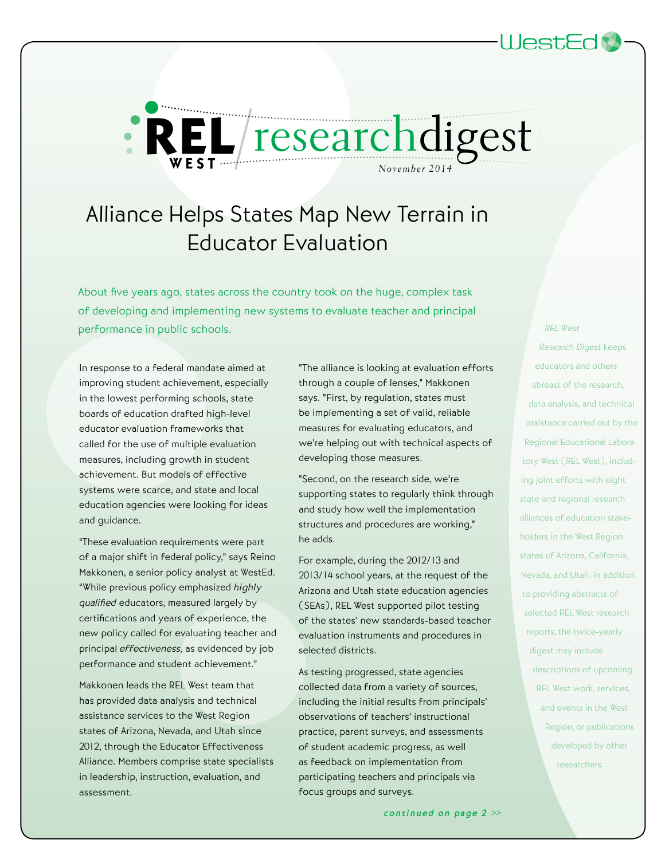# Alliance Helps States Map New Terrain in Educator Evaluation

**REL**/researchdigest

About five years ago, states across the country took on the huge, complex task of developing and implementing new systems to evaluate teacher and principal performance in public schools.

In response to a federal mandate aimed at improving student achievement, especially in the lowest performing schools, state boards of education drafted high-level educator evaluation frameworks that called for the use of multiple evaluation measures, including growth in student achievement. But models of effective systems were scarce, and state and local education agencies were looking for ideas and guidance.

"These evaluation requirements were part of a major shift in federal policy," says Reino Makkonen, a senior policy analyst at WestEd. "While previous policy emphasized highly qualified educators, measured largely by certifications and years of experience, the new policy called for evaluating teacher and principal effectiveness, as evidenced by job performance and student achievement."

Makkonen leads the REL West team that has provided data analysis and technical assistance services to the West Region states of Arizona, Nevada, and Utah since 2012, through the Educator Effectiveness Alliance. Members comprise state specialists in leadership, instruction, evaluation, and assessment.

"The alliance is looking at evaluation efforts through a couple of lenses," Makkonen says. "First, by regulation, states must be implementing a set of valid, reliable measures for evaluating educators, and we're helping out with technical aspects of developing those measures.

"Second, on the research side, we're supporting states to regularly think through and study how well the implementation structures and procedures are working," he adds.

For example, during the 2012/13 and 2013/14 school years, at the request of the Arizona and Utah state education agencies (SEAs), REL West supported pilot testing of the states' new standards-based teacher evaluation instruments and procedures in selected districts.

As testing progressed, state agencies collected data from a variety of sources, including the initial results from principals' observations of teachers' instructional practice, parent surveys, and assessments of student academic progress, as well as feedback on implementation from participating teachers and principals via focus groups and surveys.

### REL West Research Digest keeps educators and others abreast of the research, data analysis, and technical assistance carried out by the Regional Educational Laboratory West (REL West), including joint efforts with eight state and regional research alliances of education stakeholders in the West Region states of Arizona, California, Nevada, and Utah. In addition to providing abstracts of selected REL West research reports, the twice-yearly digest may include descriptions of upcoming REL West work, services, and events in the West Region, or publications developed by other

WestEdM

researchers.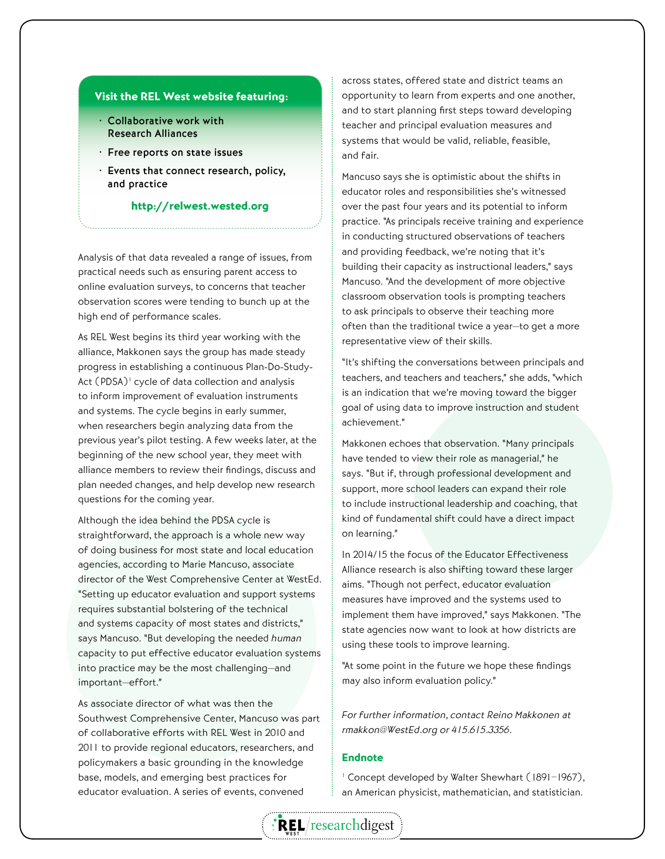#### Visit the [REL West website](http://relwest.wested.org/) featuring:

- $\cdot$  Collaborative work with Research Alliances
- $\cdot$  Free reports on state issues
- $\cdot$  Events that connect research, policy, and practice

#### [http://relwest.wested.org](http://relwest.wested.org/)

Analysis of that data revealed a range of issues, from practical needs such as ensuring parent access to online evaluation surveys, to concerns that teacher observation scores were tending to bunch up at the high end of performance scales.

As REL West begins its third year working with the alliance, Makkonen says the group has made steady progress in establishing a continuous Plan-Do-Study-Act (PDSA)' cycle of data collection and analysis to inform improvement of evaluation instruments and systems. The cycle begins in early summer, when researchers begin analyzing data from the previous year's pilot testing. A few weeks later, at the beginning of the new school year, they meet with alliance members to review their findings, discuss and plan needed changes, and help develop new research questions for the coming year.

Although the idea behind the PDSA cycle is straightforward, the approach is a whole new way of doing business for most state and local education agencies, according to Marie Mancuso, associate director of the West Comprehensive Center at WestEd. "Setting up educator evaluation and support systems requires substantial bolstering of the technical and systems capacity of most states and districts," says Mancuso. "But developing the needed human capacity to put effective educator evaluation systems into practice may be the most challenging—and important—effort."

As associate director of what was then the Southwest Comprehensive Center, Mancuso was part of collaborative efforts with REL West in 2010 and 2011 to provide regional educators, researchers, and policymakers a basic grounding in the knowledge base, models, and emerging best practices for educator evaluation. A series of events, convened

across states, offered state and district teams an opportunity to learn from experts and one another, and to start planning first steps toward developing teacher and principal evaluation measures and systems that would be valid, reliable, feasible, and fair.

Mancuso says she is optimistic about the shifts in educator roles and responsibilities she's witnessed over the past four years and its potential to inform practice. "As principals receive training and experience in conducting structured observations of teachers and providing feedback, we're noting that it's building their capacity as instructional leaders," says Mancuso. "And the development of more objective classroom observation tools is prompting teachers to ask principals to observe their teaching more often than the traditional twice a year—to get a more representative view of their skills.

"It's shifting the conversations between principals and teachers, and teachers and teachers," she adds, "which is an indication that we're moving toward the bigger goal of using data to improve instruction and student achievement."

Makkonen echoes that observation. "Many principals have tended to view their role as managerial," he says. "But if, through professional development and support, more school leaders can expand their role to include instructional leadership and coaching, that kind of fundamental shift could have a direct impact on learning."

In 2014/15 the focus of the Educator Effectiveness Alliance research is also shifting toward these larger aims. "Though not perfect, educator evaluation measures have improved and the systems used to implement them have improved," says Makkonen. "The state agencies now want to look at how districts are using these tools to improve learning.

"At some point in the future we hope these findings may also inform evaluation policy."

For further information, contact Reino Makkonen at rmakkon@WestEd.org or 415.615.3356.

#### **Endnote**

1 Concept developed by Walter Shewhart (1891–1967), an American physicist, mathematician, and statistician.

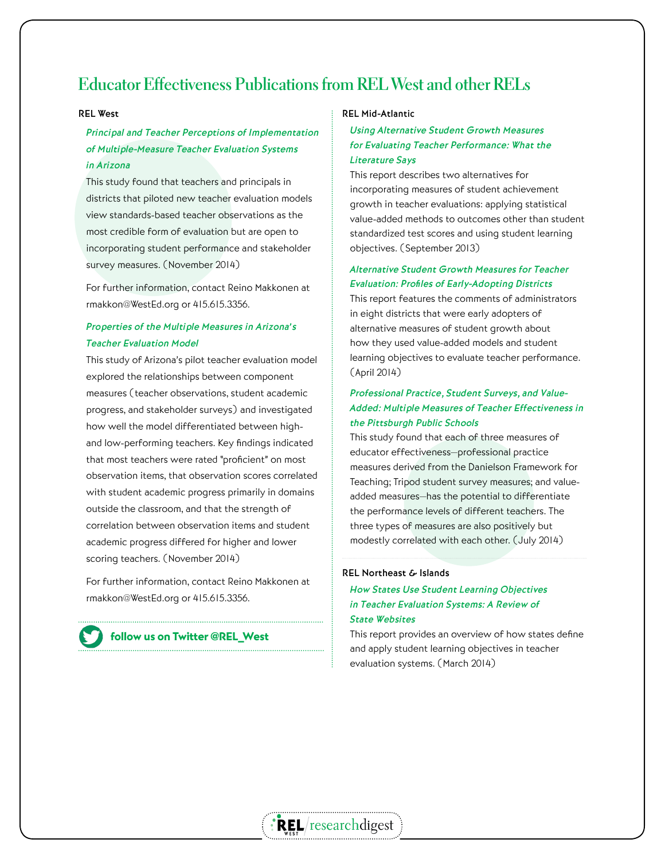### **Educator Effectiveness Publications from REL West and other RELs**

#### REL West

#### [Principal and Teacher Perceptions of Implementation](http://ies.ed.gov/pubsearch/pubsinfo.asp?pubid=REL2015062)  [of Multiple‑Measure Teacher Evaluation Systems](http://ies.ed.gov/pubsearch/pubsinfo.asp?pubid=REL2015062)  in [Arizona](http://ies.ed.gov/pubsearch/pubsinfo.asp?pubid=REL2015062)

This study found that teachers and principals in districts that piloted new teacher evaluation models view standards-based teacher observations as the most credible form of evaluation but are open to incorporating student performance and stakeholder survey measures. (November 2014)

For further information, contact Reino Makkonen at rmakkon@WestEd.org or 415.615.3356.

#### [Properties of the Multiple Measures in Arizona's](http://ies.ed.gov/ncee/edlabs/projects/project.asp?projectID=452)  [Teacher Evaluation Model](http://ies.ed.gov/ncee/edlabs/projects/project.asp?projectID=452)

This study of Arizona's pilot teacher evaluation model explored the relationships between component measures (teacher observations, student academic progress, and stakeholder surveys) and investigated how well the model differentiated between highand low-performing teachers. Key findings indicated that most teachers were rated "proficient" on most observation items, that observation scores correlated with student academic progress primarily in domains outside the classroom, and that the strength of correlation between observation items and student academic progress differed for higher and lower scoring teachers. (November 2014)

For further information, contact Reino Makkonen at rmakkon@WestEd.org or 415.615.3356.

## follow us on Twitter [@REL\\_West](http://www.twitter.com/rel_west)

#### REL Mid-Atlantic

#### [Using Alternative Student Growth Measures](http://ies.ed.gov/ncee/edlabs/regions/midatlantic/pdf/REL_2013002.pdf)  [for Evaluating Teacher Performance: What the](http://ies.ed.gov/ncee/edlabs/regions/midatlantic/pdf/REL_2013002.pdf)  [Literature](http://ies.ed.gov/ncee/edlabs/regions/midatlantic/pdf/REL_2013002.pdf) Says

This report describes two alternatives for incorporating measures of student achievement growth in teacher evaluations: applying statistical value-added methods to outcomes other than student standardized test scores and using student learning objectives. (September 2013)

#### [Alternative Student Growth Measures for Teacher](http://ies.ed.gov/ncee/edlabs/regions/midatlantic/pdf/REL_2014016.pdf)  [Evaluation: Profiles of Early-Adopting Districts](http://ies.ed.gov/ncee/edlabs/regions/midatlantic/pdf/REL_2014016.pdf)

This report features the comments of administrators in eight districts that were early adopters of alternative measures of student growth about how they used value-added models and student learning objectives to evaluate teacher performance. (April 2014)

#### [Professional Practice, Student Surveys, and Value-](http://ies.ed.gov/ncee/edlabs/regions/midatlantic/pdf/REL_2014024.pdf)[Added: Multiple Measures of Teacher Effectiveness in](http://ies.ed.gov/ncee/edlabs/regions/midatlantic/pdf/REL_2014024.pdf)  [the Pittsburgh Public Schools](http://ies.ed.gov/ncee/edlabs/regions/midatlantic/pdf/REL_2014024.pdf)

This study found that each of three measures of educator effectiveness—professional practice measures derived from the Danielson Framework for Teaching; Tripod student survey measures; and valueadded measures—has the potential to differentiate the performance levels of different teachers. The three types of measures are also positively but modestly correlated with each other. (July 2014)

#### REL Northeast & Islands

#### [How States Use Student Learning Objectives](http://ies.ed.gov/ncee/edlabs/regions/northeast/pdf/REL_2014013.pdf)  [in Teacher Evaluation Systems: A Review of](http://ies.ed.gov/ncee/edlabs/regions/northeast/pdf/REL_2014013.pdf)  State [Websites](http://ies.ed.gov/ncee/edlabs/regions/northeast/pdf/REL_2014013.pdf)

This report provides an overview of how states define and apply student learning objectives in teacher evaluation systems. (March 2014)